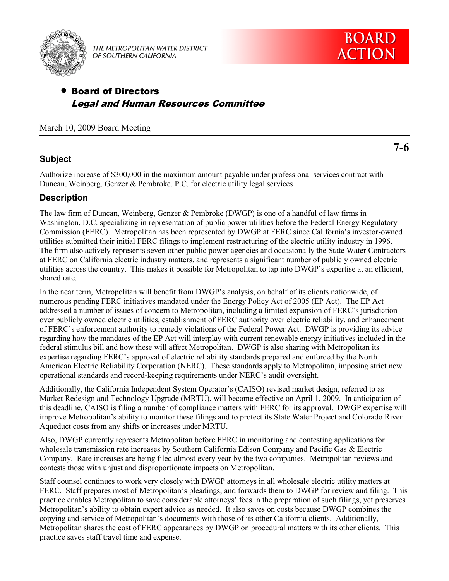

THE METROPOLITAN WATER DISTRICT OF SOUTHERN CALIFORNIA

**7-6** 

# Board of Directors Legal and Human Resources Committee

March 10, 2009 Board Meeting

## **Subject**

Authorize increase of \$300,000 in the maximum amount payable under professional services contract with Duncan, Weinberg, Genzer & Pembroke, P.C. for electric utility legal services

### **Description**

The law firm of Duncan, Weinberg, Genzer & Pembroke (DWGP) is one of a handful of law firms in Washington, D.C. specializing in representation of public power utilities before the Federal Energy Regulatory Commission (FERC). Metropolitan has been represented by DWGP at FERC since California's investor-owned utilities submitted their initial FERC filings to implement restructuring of the electric utility industry in 1996. The firm also actively represents seven other public power agencies and occasionally the State Water Contractors at FERC on California electric industry matters, and represents a significant number of publicly owned electric utilities across the country. This makes it possible for Metropolitan to tap into DWGP's expertise at an efficient, shared rate.

In the near term, Metropolitan will benefit from DWGP's analysis, on behalf of its clients nationwide, of numerous pending FERC initiatives mandated under the Energy Policy Act of 2005 (EP Act). The EP Act addressed a number of issues of concern to Metropolitan, including a limited expansion of FERC's jurisdiction over publicly owned electric utilities, establishment of FERC authority over electric reliability, and enhancement of FERC's enforcement authority to remedy violations of the Federal Power Act. DWGP is providing its advice regarding how the mandates of the EP Act will interplay with current renewable energy initiatives included in the federal stimulus bill and how these will affect Metropolitan. DWGP is also sharing with Metropolitan its expertise regarding FERC's approval of electric reliability standards prepared and enforced by the North American Electric Reliability Corporation (NERC). These standards apply to Metropolitan, imposing strict new operational standards and record-keeping requirements under NERC's audit oversight.

Additionally, the California Independent System Operator's (CAISO) revised market design, referred to as Market Redesign and Technology Upgrade (MRTU), will become effective on April 1, 2009. In anticipation of this deadline, CAISO is filing a number of compliance matters with FERC for its approval. DWGP expertise will improve Metropolitan's ability to monitor these filings and to protect its State Water Project and Colorado River Aqueduct costs from any shifts or increases under MRTU.

Also, DWGP currently represents Metropolitan before FERC in monitoring and contesting applications for wholesale transmission rate increases by Southern California Edison Company and Pacific Gas & Electric Company. Rate increases are being filed almost every year by the two companies. Metropolitan reviews and contests those with unjust and disproportionate impacts on Metropolitan.

Staff counsel continues to work very closely with DWGP attorneys in all wholesale electric utility matters at FERC. Staff prepares most of Metropolitan's pleadings, and forwards them to DWGP for review and filing. This practice enables Metropolitan to save considerable attorneys' fees in the preparation of such filings, yet preserves Metropolitan's ability to obtain expert advice as needed. It also saves on costs because DWGP combines the copying and service of Metropolitan's documents with those of its other California clients. Additionally, Metropolitan shares the cost of FERC appearances by DWGP on procedural matters with its other clients. This practice saves staff travel time and expense.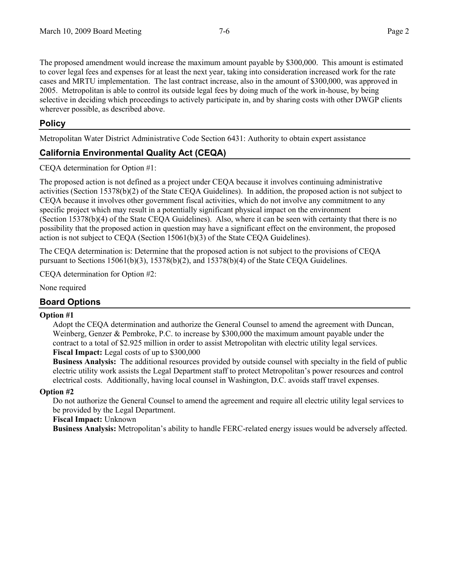The proposed amendment would increase the maximum amount payable by \$300,000. This amount is estimated to cover legal fees and expenses for at least the next year, taking into consideration increased work for the rate cases and MRTU implementation. The last contract increase, also in the amount of \$300,000, was approved in 2005. Metropolitan is able to control its outside legal fees by doing much of the work in-house, by being selective in deciding which proceedings to actively participate in, and by sharing costs with other DWGP clients wherever possible, as described above.

### **Policy**

Metropolitan Water District Administrative Code Section 6431: Authority to obtain expert assistance

## **California Environmental Quality Act (CEQA)**

CEQA determination for Option #1:

The proposed action is not defined as a project under CEQA because it involves continuing administrative activities (Section 15378(b)(2) of the State CEQA Guidelines). In addition, the proposed action is not subject to CEQA because it involves other government fiscal activities, which do not involve any commitment to any specific project which may result in a potentially significant physical impact on the environment (Section 15378(b)(4) of the State CEQA Guidelines). Also, where it can be seen with certainty that there is no possibility that the proposed action in question may have a significant effect on the environment, the proposed action is not subject to CEQA (Section 15061(b)(3) of the State CEQA Guidelines).

The CEQA determination is: Determine that the proposed action is not subject to the provisions of CEQA pursuant to Sections  $15061(b)(3)$ ,  $15378(b)(2)$ , and  $15378(b)(4)$  of the State CEQA Guidelines.

CEQA determination for Option #2:

None required

### **Board Options**

### **Option #1**

Adopt the CEQA determination and authorize the General Counsel to amend the agreement with Duncan, Weinberg, Genzer & Pembroke, P.C. to increase by \$300,000 the maximum amount payable under the contract to a total of \$2.925 million in order to assist Metropolitan with electric utility legal services. **Fiscal Impact:** Legal costs of up to \$300,000

**Business Analysis:** The additional resources provided by outside counsel with specialty in the field of public electric utility work assists the Legal Department staff to protect Metropolitan's power resources and control electrical costs. Additionally, having local counsel in Washington, D.C. avoids staff travel expenses.

### **Option #2**

Do not authorize the General Counsel to amend the agreement and require all electric utility legal services to be provided by the Legal Department.

**Fiscal Impact:** Unknown

**Business Analysis:** Metropolitan's ability to handle FERC-related energy issues would be adversely affected.